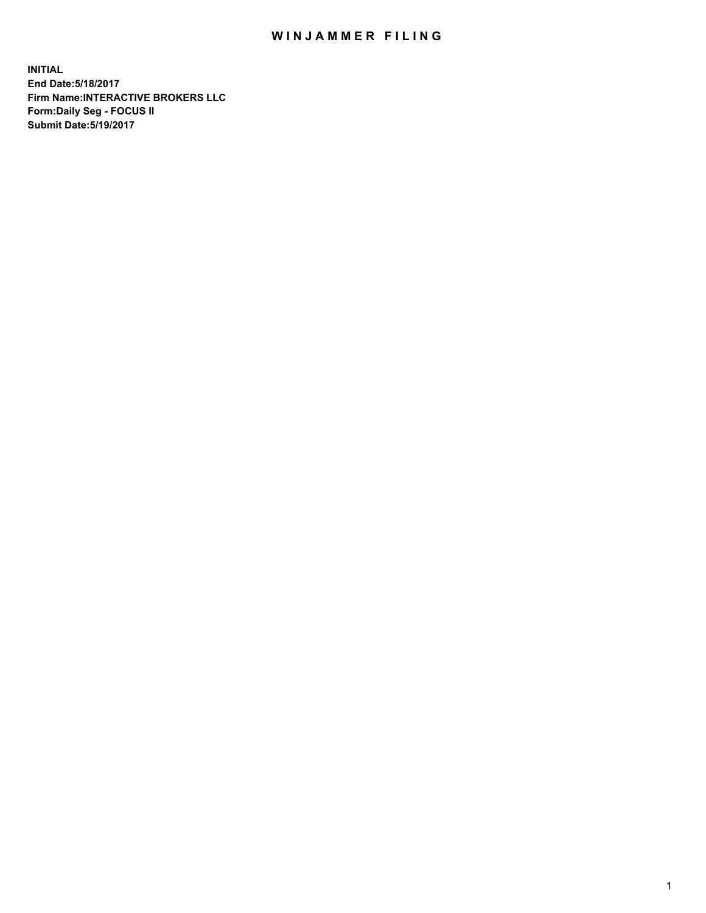## WIN JAMMER FILING

**INITIAL End Date:5/18/2017 Firm Name:INTERACTIVE BROKERS LLC Form:Daily Seg - FOCUS II Submit Date:5/19/2017**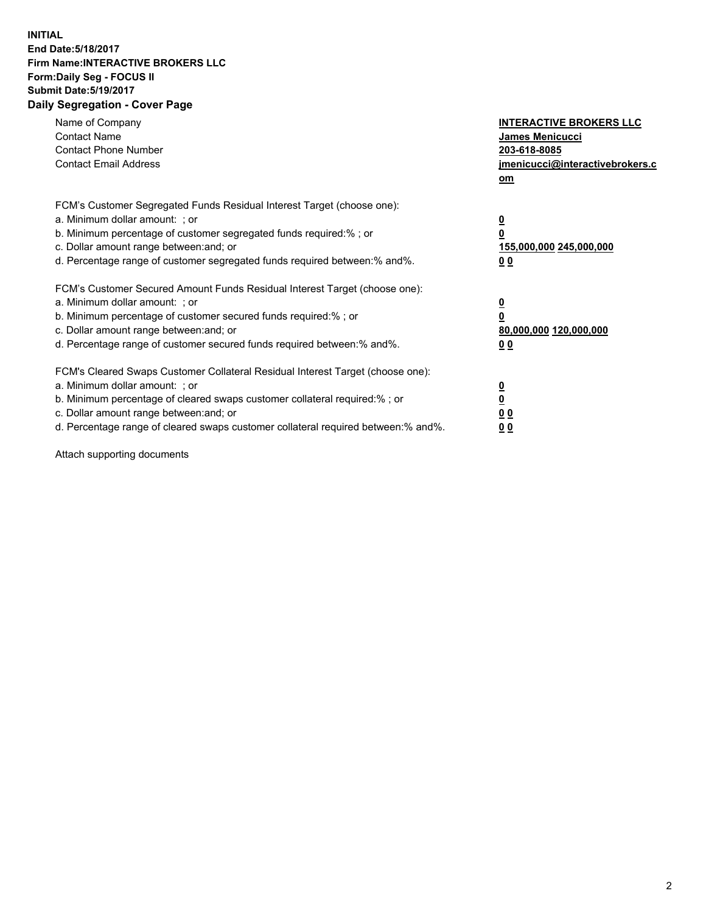## **INITIAL End Date:5/18/2017 Firm Name:INTERACTIVE BROKERS LLC Form:Daily Seg - FOCUS II Submit Date:5/19/2017 Daily Segregation - Cover Page**

| Name of Company<br><b>Contact Name</b><br><b>Contact Phone Number</b><br><b>Contact Email Address</b>                                                                                                                                                                                                                          | <b>INTERACTIVE BROKERS LLC</b><br>James Menicucci<br>203-618-8085<br>jmenicucci@interactivebrokers.c<br>om |
|--------------------------------------------------------------------------------------------------------------------------------------------------------------------------------------------------------------------------------------------------------------------------------------------------------------------------------|------------------------------------------------------------------------------------------------------------|
| FCM's Customer Segregated Funds Residual Interest Target (choose one):<br>a. Minimum dollar amount: ; or<br>b. Minimum percentage of customer segregated funds required:%; or<br>c. Dollar amount range between: and; or<br>d. Percentage range of customer segregated funds required between:% and%.                          | $\overline{\mathbf{0}}$<br>0<br>155,000,000 245,000,000<br>0 <sub>0</sub>                                  |
| FCM's Customer Secured Amount Funds Residual Interest Target (choose one):<br>a. Minimum dollar amount: ; or<br>b. Minimum percentage of customer secured funds required:%; or<br>c. Dollar amount range between: and; or<br>d. Percentage range of customer secured funds required between:% and%.                            | $\overline{\mathbf{0}}$<br>$\overline{\mathbf{0}}$<br>80,000,000 120,000,000<br>00                         |
| FCM's Cleared Swaps Customer Collateral Residual Interest Target (choose one):<br>a. Minimum dollar amount: ; or<br>b. Minimum percentage of cleared swaps customer collateral required:% ; or<br>c. Dollar amount range between: and; or<br>d. Percentage range of cleared swaps customer collateral required between:% and%. | $\overline{\mathbf{0}}$<br>$\overline{\mathbf{0}}$<br>0 <sub>0</sub><br><u>00</u>                          |

Attach supporting documents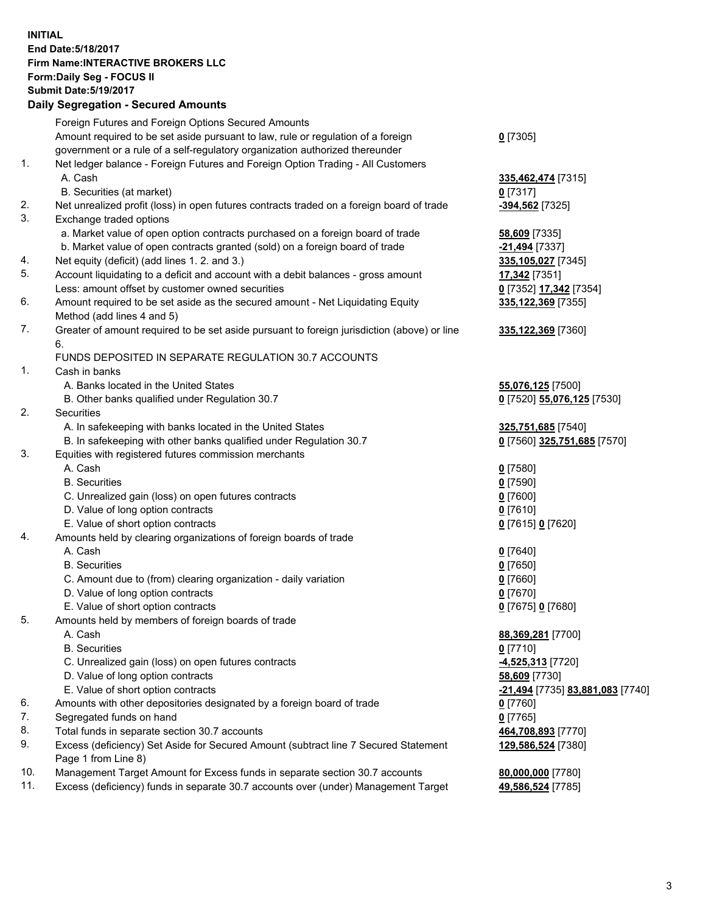## **INITIAL End Date:5/18/2017 Firm Name:INTERACTIVE BROKERS LLC Form:Daily Seg - FOCUS II Submit Date:5/19/2017**<br>Daily Segregation - Secured Amounts **Daily Segregation - Seture**

|     | Daily Segregation - Secured Amounts                                                         |                                  |
|-----|---------------------------------------------------------------------------------------------|----------------------------------|
|     | Foreign Futures and Foreign Options Secured Amounts                                         |                                  |
|     | Amount required to be set aside pursuant to law, rule or regulation of a foreign            | $0$ [7305]                       |
|     | government or a rule of a self-regulatory organization authorized thereunder                |                                  |
| 1.  | Net ledger balance - Foreign Futures and Foreign Option Trading - All Customers             |                                  |
|     | A. Cash                                                                                     | 335,462,474 [7315]               |
|     | B. Securities (at market)                                                                   | 0[7317]                          |
| 2.  |                                                                                             |                                  |
|     | Net unrealized profit (loss) in open futures contracts traded on a foreign board of trade   | -394,562 <sup>[7325]</sup>       |
| 3.  | Exchange traded options                                                                     |                                  |
|     | a. Market value of open option contracts purchased on a foreign board of trade              | <b>58,609</b> [7335]             |
|     | b. Market value of open contracts granted (sold) on a foreign board of trade                | -21,494 [7337]                   |
| 4.  | Net equity (deficit) (add lines 1.2. and 3.)                                                | 335,105,027 [7345]               |
| 5.  | Account liquidating to a deficit and account with a debit balances - gross amount           | 17,342 [7351]                    |
|     | Less: amount offset by customer owned securities                                            | 0 [7352] 17,342 [7354]           |
| 6.  | Amount required to be set aside as the secured amount - Net Liquidating Equity              | 335,122,369 [7355]               |
|     | Method (add lines 4 and 5)                                                                  |                                  |
| 7.  | Greater of amount required to be set aside pursuant to foreign jurisdiction (above) or line | 335, 122, 369 [7360]             |
|     | 6.                                                                                          |                                  |
|     | FUNDS DEPOSITED IN SEPARATE REGULATION 30.7 ACCOUNTS                                        |                                  |
| 1.  | Cash in banks                                                                               |                                  |
|     | A. Banks located in the United States                                                       | 55,076,125 [7500]                |
|     | B. Other banks qualified under Regulation 30.7                                              | 0 [7520] 55,076,125 [7530]       |
| 2.  | Securities                                                                                  |                                  |
|     | A. In safekeeping with banks located in the United States                                   | 325,751,685 [7540]               |
|     | B. In safekeeping with other banks qualified under Regulation 30.7                          | 0 [7560] 325,751,685 [7570]      |
| 3.  | Equities with registered futures commission merchants                                       |                                  |
|     | A. Cash                                                                                     | $0$ [7580]                       |
|     | <b>B.</b> Securities                                                                        | $0$ [7590]                       |
|     | C. Unrealized gain (loss) on open futures contracts                                         | $0$ [7600]                       |
|     | D. Value of long option contracts                                                           | $0$ [7610]                       |
|     | E. Value of short option contracts                                                          |                                  |
| 4.  |                                                                                             | 0 [7615] 0 [7620]                |
|     | Amounts held by clearing organizations of foreign boards of trade                           |                                  |
|     | A. Cash                                                                                     | $0$ [7640]                       |
|     | <b>B.</b> Securities                                                                        | $0$ [7650]                       |
|     | C. Amount due to (from) clearing organization - daily variation                             | $0$ [7660]                       |
|     | D. Value of long option contracts                                                           | $0$ [7670]                       |
|     | E. Value of short option contracts                                                          | 0 [7675] 0 [7680]                |
| 5.  | Amounts held by members of foreign boards of trade                                          |                                  |
|     | A. Cash                                                                                     | 88,369,281 [7700]                |
|     | <b>B.</b> Securities                                                                        | $0$ [7710]                       |
|     | C. Unrealized gain (loss) on open futures contracts                                         | $-4,525,313$ [7720]              |
|     | D. Value of long option contracts                                                           | 58,609 [7730]                    |
|     | E. Value of short option contracts                                                          | -21,494 [7735] 83,881,083 [7740] |
| 6.  | Amounts with other depositories designated by a foreign board of trade                      | 0 [7760]                         |
| 7.  | Segregated funds on hand                                                                    | $0$ [7765]                       |
| 8.  | Total funds in separate section 30.7 accounts                                               | 464,708,893 [7770]               |
| 9.  | Excess (deficiency) Set Aside for Secured Amount (subtract line 7 Secured Statement         | 129,586,524 [7380]               |
|     | Page 1 from Line 8)                                                                         |                                  |
| 10. | Management Target Amount for Excess funds in separate section 30.7 accounts                 | 80,000,000 [7780]                |
| 11. | Excess (deficiency) funds in separate 30.7 accounts over (under) Management Target          | 49,586,524 [7785]                |
|     |                                                                                             |                                  |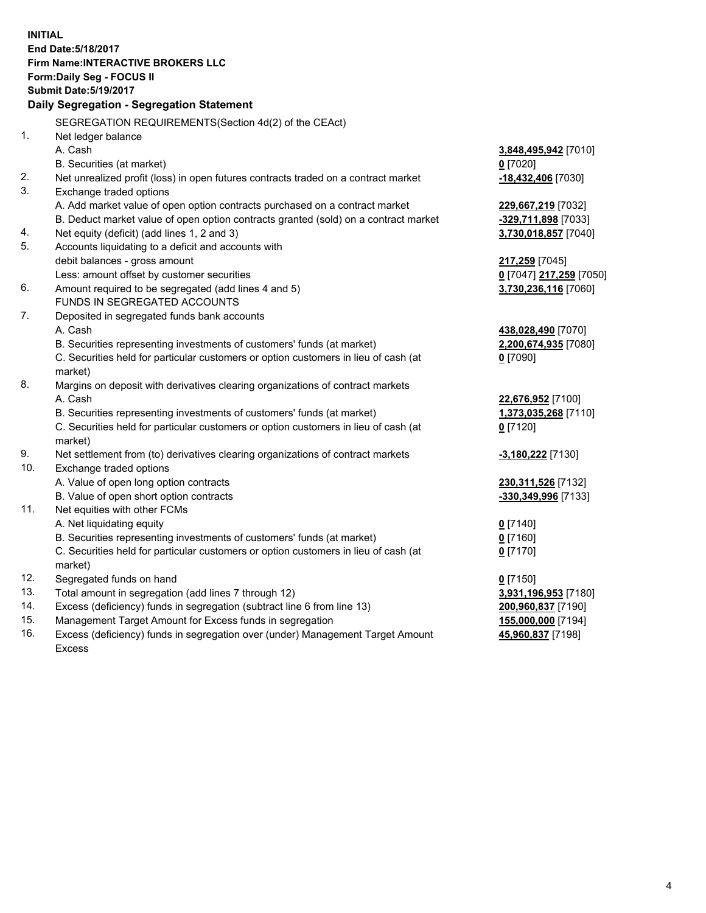**INITIAL End Date:5/18/2017 Firm Name:INTERACTIVE BROKERS LLC Form:Daily Seg - FOCUS II Submit Date:5/19/2017 Daily Segregation - Segregation Statement** SEGREGATION REQUIREMENTS(Section 4d(2) of the CEAct) 1. Net ledger balance A. Cash **3,848,495,942** [7010] B. Securities (at market) **0** [7020] 2. Net unrealized profit (loss) in open futures contracts traded on a contract market **-18,432,406** [7030] 3. Exchange traded options A. Add market value of open option contracts purchased on a contract market **229,667,219** [7032] B. Deduct market value of open option contracts granted (sold) on a contract market **-329,711,898** [7033] 4. Net equity (deficit) (add lines 1, 2 and 3) **3,730,018,857** [7040] 5. Accounts liquidating to a deficit and accounts with debit balances - gross amount **217,259** [7045] Less: amount offset by customer securities **0** [7047] **217,259** [7050] 6. Amount required to be segregated (add lines 4 and 5) **3,730,236,116** [7060] FUNDS IN SEGREGATED ACCOUNTS 7. Deposited in segregated funds bank accounts A. Cash **438,028,490** [7070] B. Securities representing investments of customers' funds (at market) **2,200,674,935** [7080] C. Securities held for particular customers or option customers in lieu of cash (at market) **0** [7090] 8. Margins on deposit with derivatives clearing organizations of contract markets A. Cash **22,676,952** [7100] B. Securities representing investments of customers' funds (at market) **1,373,035,268** [7110] C. Securities held for particular customers or option customers in lieu of cash (at market) **0** [7120] 9. Net settlement from (to) derivatives clearing organizations of contract markets **-3,180,222** [7130] 10. Exchange traded options A. Value of open long option contracts **230,311,526** [7132] B. Value of open short option contracts **-330,349,996** [7133] 11. Net equities with other FCMs A. Net liquidating equity **0** [7140] B. Securities representing investments of customers' funds (at market) **0** [7160] C. Securities held for particular customers or option customers in lieu of cash (at market) **0** [7170] 12. Segregated funds on hand **0** [7150] 13. Total amount in segregation (add lines 7 through 12) **3,931,196,953** [7180] 14. Excess (deficiency) funds in segregation (subtract line 6 from line 13) **200,960,837** [7190] 15. Management Target Amount for Excess funds in segregation **155,000,000** [7194] **45,960,837** [7198]

16. Excess (deficiency) funds in segregation over (under) Management Target Amount Excess